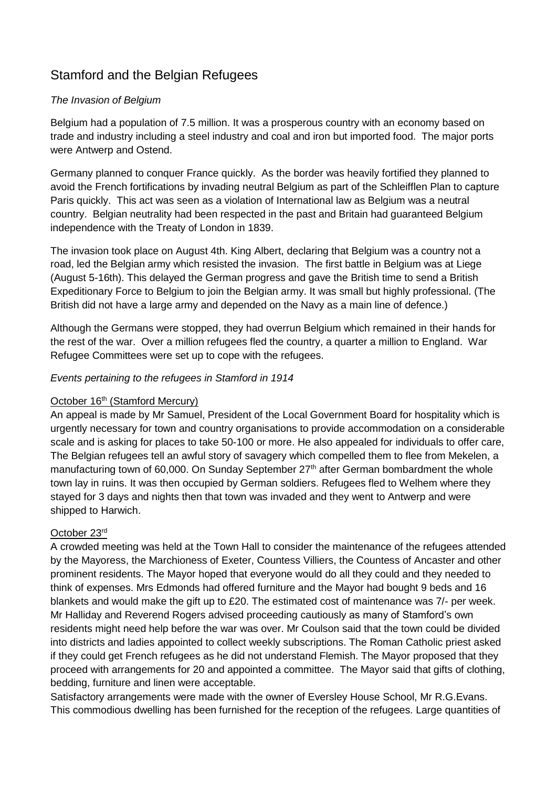# Stamford and the Belgian Refugees

## *The Invasion of Belgium*

Belgium had a population of 7.5 million. It was a prosperous country with an economy based on trade and industry including a steel industry and coal and iron but imported food. The major ports were Antwerp and Ostend.

Germany planned to conquer France quickly. As the border was heavily fortified they planned to avoid the French fortifications by invading neutral Belgium as part of the Schleifflen Plan to capture Paris quickly. This act was seen as a violation of International law as Belgium was a neutral country. Belgian neutrality had been respected in the past and Britain had guaranteed Belgium independence with the Treaty of London in 1839.

The invasion took place on August 4th. King Albert, declaring that Belgium was a country not a road, led the Belgian army which resisted the invasion. The first battle in Belgium was at Liege (August 5-16th). This delayed the German progress and gave the British time to send a British Expeditionary Force to Belgium to join the Belgian army. It was small but highly professional. (The British did not have a large army and depended on the Navy as a main line of defence.)

Although the Germans were stopped, they had overrun Belgium which remained in their hands for the rest of the war. Over a million refugees fled the country, a quarter a million to England. War Refugee Committees were set up to cope with the refugees.

#### *Events pertaining to the refugees in Stamford in 1914*

#### October 16<sup>th</sup> (Stamford Mercury)

An appeal is made by Mr Samuel, President of the Local Government Board for hospitality which is urgently necessary for town and country organisations to provide accommodation on a considerable scale and is asking for places to take 50-100 or more. He also appealed for individuals to offer care, The Belgian refugees tell an awful story of savagery which compelled them to flee from Mekelen, a manufacturing town of 60,000. On Sunday September 27<sup>th</sup> after German bombardment the whole town lay in ruins. It was then occupied by German soldiers. Refugees fled to Welhem where they stayed for 3 days and nights then that town was invaded and they went to Antwerp and were shipped to Harwich.

#### October 23rd

A crowded meeting was held at the Town Hall to consider the maintenance of the refugees attended by the Mayoress, the Marchioness of Exeter, Countess Villiers, the Countess of Ancaster and other prominent residents. The Mayor hoped that everyone would do all they could and they needed to think of expenses. Mrs Edmonds had offered furniture and the Mayor had bought 9 beds and 16 blankets and would make the gift up to £20. The estimated cost of maintenance was 7/- per week. Mr Halliday and Reverend Rogers advised proceeding cautiously as many of Stamford's own residents might need help before the war was over. Mr Coulson said that the town could be divided into districts and ladies appointed to collect weekly subscriptions. The Roman Catholic priest asked if they could get French refugees as he did not understand Flemish. The Mayor proposed that they proceed with arrangements for 20 and appointed a committee. The Mayor said that gifts of clothing, bedding, furniture and linen were acceptable.

Satisfactory arrangements were made with the owner of Eversley House School, Mr R.G.Evans. This commodious dwelling has been furnished for the reception of the refugees. Large quantities of